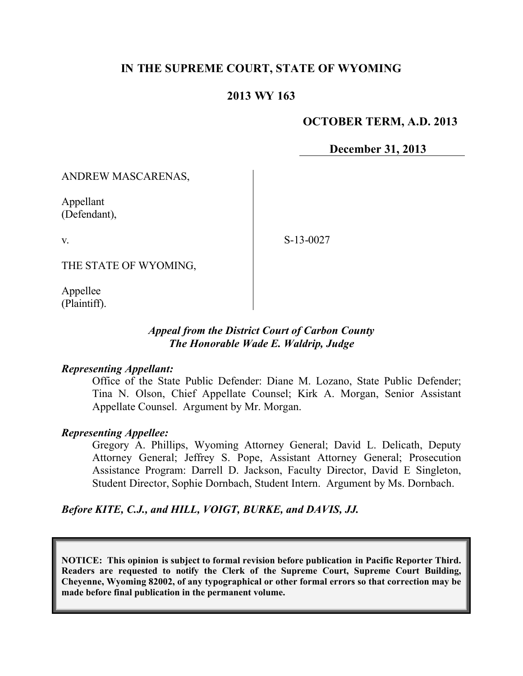# **IN THE SUPREME COURT, STATE OF WYOMING**

# **2013 WY 163**

### **OCTOBER TERM, A.D. 2013**

**December 31, 2013**

ANDREW MASCARENAS,

Appellant (Defendant),

v.

S-13-0027

THE STATE OF WYOMING,

Appellee (Plaintiff).

## *Appeal from the District Court of Carbon County The Honorable Wade E. Waldrip, Judge*

#### *Representing Appellant:*

Office of the State Public Defender: Diane M. Lozano, State Public Defender; Tina N. Olson, Chief Appellate Counsel; Kirk A. Morgan, Senior Assistant Appellate Counsel. Argument by Mr. Morgan.

### *Representing Appellee:*

Gregory A. Phillips, Wyoming Attorney General; David L. Delicath, Deputy Attorney General; Jeffrey S. Pope, Assistant Attorney General; Prosecution Assistance Program: Darrell D. Jackson, Faculty Director, David E Singleton, Student Director, Sophie Dornbach, Student Intern. Argument by Ms. Dornbach.

*Before KITE, C.J., and HILL, VOIGT, BURKE, and DAVIS, JJ.*

**NOTICE: This opinion is subject to formal revision before publication in Pacific Reporter Third. Readers are requested to notify the Clerk of the Supreme Court, Supreme Court Building, Cheyenne, Wyoming 82002, of any typographical or other formal errors so that correction may be made before final publication in the permanent volume.**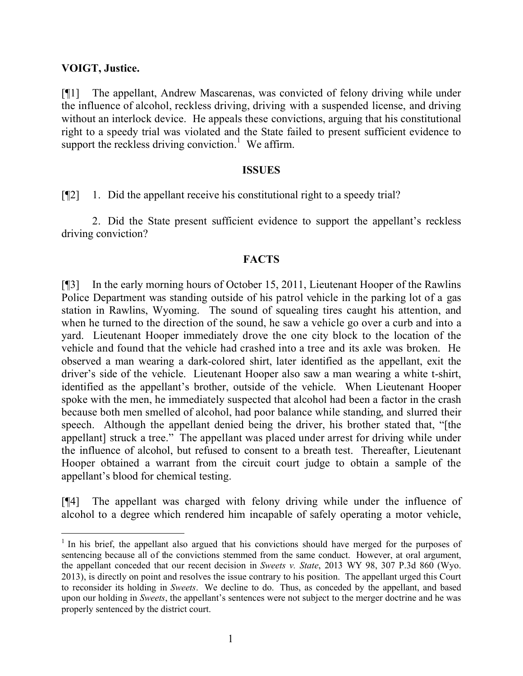## **VOIGT, Justice.**

 $\overline{a}$ 

[¶1] The appellant, Andrew Mascarenas, was convicted of felony driving while under the influence of alcohol, reckless driving, driving with a suspended license, and driving without an interlock device. He appeals these convictions, arguing that his constitutional right to a speedy trial was violated and the State failed to present sufficient evidence to support the reckless driving conviction.<sup>1</sup> We affirm.

#### **ISSUES**

[¶2] 1. Did the appellant receive his constitutional right to a speedy trial?

2. Did the State present sufficient evidence to support the appellant's reckless driving conviction?

## **FACTS**

[¶3] In the early morning hours of October 15, 2011, Lieutenant Hooper of the Rawlins Police Department was standing outside of his patrol vehicle in the parking lot of a gas station in Rawlins, Wyoming. The sound of squealing tires caught his attention, and when he turned to the direction of the sound, he saw a vehicle go over a curb and into a yard. Lieutenant Hooper immediately drove the one city block to the location of the vehicle and found that the vehicle had crashed into a tree and its axle was broken. He observed a man wearing a dark-colored shirt, later identified as the appellant, exit the driver's side of the vehicle. Lieutenant Hooper also saw a man wearing a white t-shirt, identified as the appellant's brother, outside of the vehicle. When Lieutenant Hooper spoke with the men, he immediately suspected that alcohol had been a factor in the crash because both men smelled of alcohol, had poor balance while standing, and slurred their speech. Although the appellant denied being the driver, his brother stated that, "[the appellant] struck a tree." The appellant was placed under arrest for driving while under the influence of alcohol, but refused to consent to a breath test. Thereafter, Lieutenant Hooper obtained a warrant from the circuit court judge to obtain a sample of the appellant's blood for chemical testing.

[¶4] The appellant was charged with felony driving while under the influence of alcohol to a degree which rendered him incapable of safely operating a motor vehicle,

<sup>&</sup>lt;sup>1</sup> In his brief, the appellant also argued that his convictions should have merged for the purposes of sentencing because all of the convictions stemmed from the same conduct. However, at oral argument, the appellant conceded that our recent decision in *Sweets v. State*, 2013 WY 98, 307 P.3d 860 (Wyo. 2013), is directly on point and resolves the issue contrary to his position. The appellant urged this Court to reconsider its holding in *Sweets*. We decline to do. Thus, as conceded by the appellant, and based upon our holding in *Sweets*, the appellant's sentences were not subject to the merger doctrine and he was properly sentenced by the district court.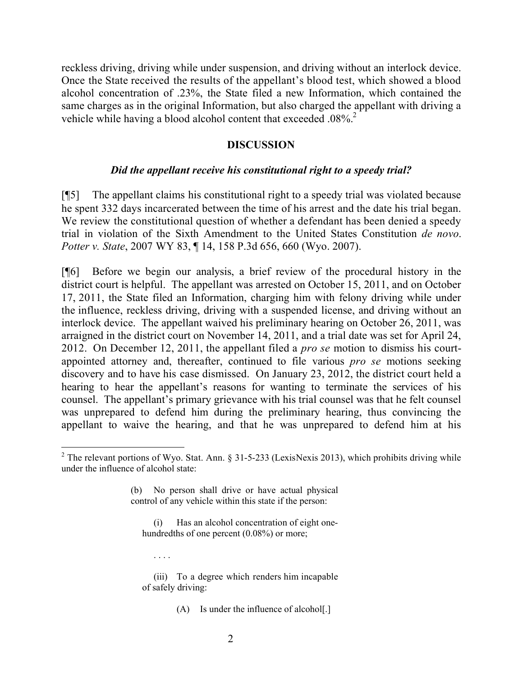reckless driving, driving while under suspension, and driving without an interlock device. Once the State received the results of the appellant's blood test, which showed a blood alcohol concentration of .23%, the State filed a new Information, which contained the same charges as in the original Information, but also charged the appellant with driving a vehicle while having a blood alcohol content that exceeded .08%<sup>2</sup>

### **DISCUSSION**

#### *Did the appellant receive his constitutional right to a speedy trial?*

[¶5] The appellant claims his constitutional right to a speedy trial was violated because he spent 332 days incarcerated between the time of his arrest and the date his trial began. We review the constitutional question of whether a defendant has been denied a speedy trial in violation of the Sixth Amendment to the United States Constitution *de novo*. *Potter v. State*, 2007 WY 83, ¶ 14, 158 P.3d 656, 660 (Wyo. 2007).

[¶6] Before we begin our analysis, a brief review of the procedural history in the district court is helpful. The appellant was arrested on October 15, 2011, and on October 17, 2011, the State filed an Information, charging him with felony driving while under the influence, reckless driving, driving with a suspended license, and driving without an interlock device. The appellant waived his preliminary hearing on October 26, 2011, was arraigned in the district court on November 14, 2011, and a trial date was set for April 24, 2012. On December 12, 2011, the appellant filed a *pro se* motion to dismiss his courtappointed attorney and, thereafter, continued to file various *pro se* motions seeking discovery and to have his case dismissed. On January 23, 2012, the district court held a hearing to hear the appellant's reasons for wanting to terminate the services of his counsel. The appellant's primary grievance with his trial counsel was that he felt counsel was unprepared to defend him during the preliminary hearing, thus convincing the appellant to waive the hearing, and that he was unprepared to defend him at his

Has an alcohol concentration of eight onehundredths of one percent  $(0.08\%)$  or more;

(iii) To a degree which renders him incapable of safely driving:

. . . .

 $2$  The relevant portions of Wyo. Stat. Ann. § 31-5-233 (LexisNexis 2013), which prohibits driving while under the influence of alcohol state:

<sup>(</sup>b) No person shall drive or have actual physical control of any vehicle within this state if the person:

<sup>(</sup>A) Is under the influence of alcohol[.]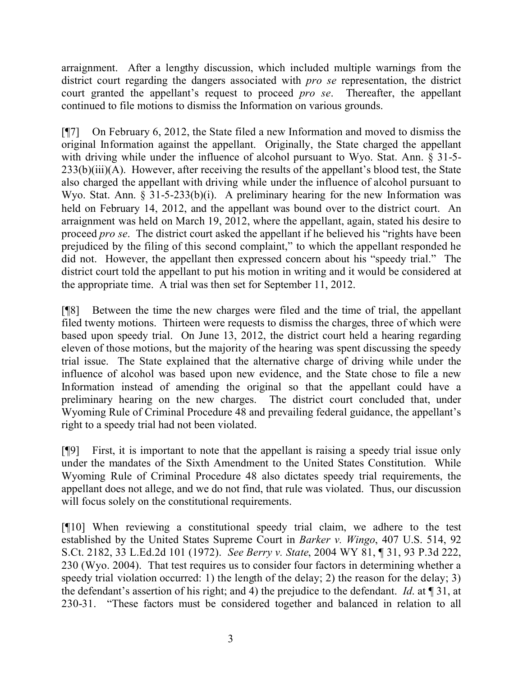arraignment. After a lengthy discussion, which included multiple warnings from the district court regarding the dangers associated with *pro se* representation, the district court granted the appellant's request to proceed *pro se*. Thereafter, the appellant continued to file motions to dismiss the Information on various grounds.

[¶7] On February 6, 2012, the State filed a new Information and moved to dismiss the original Information against the appellant. Originally, the State charged the appellant with driving while under the influence of alcohol pursuant to Wyo. Stat. Ann. § 31-5-233(b)(iii)(A). However, after receiving the results of the appellant's blood test, the State also charged the appellant with driving while under the influence of alcohol pursuant to Wyo. Stat. Ann. § 31-5-233(b)(i). A preliminary hearing for the new Information was held on February 14, 2012, and the appellant was bound over to the district court. An arraignment was held on March 19, 2012, where the appellant, again, stated his desire to proceed *pro se*. The district court asked the appellant if he believed his "rights have been prejudiced by the filing of this second complaint," to which the appellant responded he did not. However, the appellant then expressed concern about his "speedy trial." The district court told the appellant to put his motion in writing and it would be considered at the appropriate time. A trial was then set for September 11, 2012.

[¶8] Between the time the new charges were filed and the time of trial, the appellant filed twenty motions. Thirteen were requests to dismiss the charges, three of which were based upon speedy trial. On June 13, 2012, the district court held a hearing regarding eleven of those motions, but the majority of the hearing was spent discussing the speedy trial issue. The State explained that the alternative charge of driving while under the influence of alcohol was based upon new evidence, and the State chose to file a new Information instead of amending the original so that the appellant could have a preliminary hearing on the new charges. The district court concluded that, under Wyoming Rule of Criminal Procedure 48 and prevailing federal guidance, the appellant's right to a speedy trial had not been violated.

[¶9] First, it is important to note that the appellant is raising a speedy trial issue only under the mandates of the Sixth Amendment to the United States Constitution. While Wyoming Rule of Criminal Procedure 48 also dictates speedy trial requirements, the appellant does not allege, and we do not find, that rule was violated. Thus, our discussion will focus solely on the constitutional requirements.

[¶10] When reviewing a constitutional speedy trial claim, we adhere to the test established by the United States Supreme Court in *Barker v. Wingo*, 407 U.S. 514, 92 S.Ct. 2182, 33 L.Ed.2d 101 (1972). *See Berry v. State*, 2004 WY 81, ¶ 31, 93 P.3d 222, 230 (Wyo. 2004). That test requires us to consider four factors in determining whether a speedy trial violation occurred: 1) the length of the delay; 2) the reason for the delay; 3) the defendant's assertion of his right; and 4) the prejudice to the defendant. *Id*. at ¶ 31, at 230-31. "These factors must be considered together and balanced in relation to all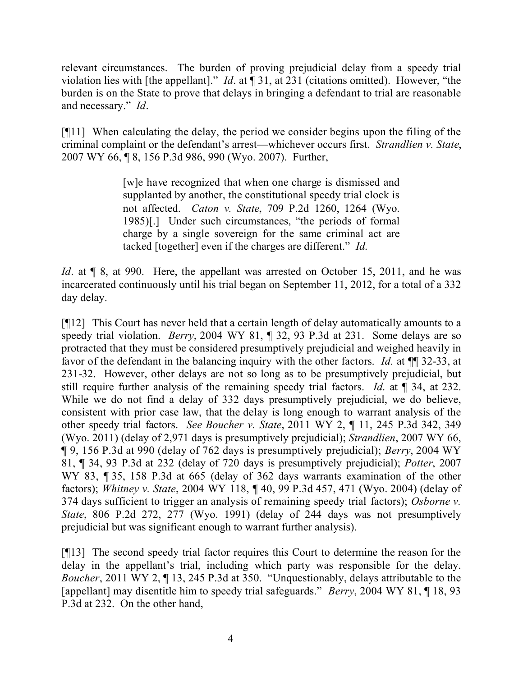relevant circumstances. The burden of proving prejudicial delay from a speedy trial violation lies with [the appellant]." *Id*. at ¶ 31, at 231 (citations omitted). However, "the burden is on the State to prove that delays in bringing a defendant to trial are reasonable and necessary." *Id*.

[¶11] When calculating the delay, the period we consider begins upon the filing of the criminal complaint or the defendant's arrest—whichever occurs first. *Strandlien v. State*, 2007 WY 66, ¶ 8, 156 P.3d 986, 990 (Wyo. 2007). Further,

> [w]e have recognized that when one charge is dismissed and supplanted by another, the constitutional speedy trial clock is not affected. *Caton v. State*, 709 P.2d 1260, 1264 (Wyo. 1985)[.] Under such circumstances, "the periods of formal charge by a single sovereign for the same criminal act are tacked [together] even if the charges are different." *Id*.

*Id*. at  $\llbracket 8$ , at 990. Here, the appellant was arrested on October 15, 2011, and he was incarcerated continuously until his trial began on September 11, 2012, for a total of a 332 day delay.

[¶12] This Court has never held that a certain length of delay automatically amounts to a speedy trial violation. *Berry*, 2004 WY 81, ¶ 32, 93 P.3d at 231. Some delays are so protracted that they must be considered presumptively prejudicial and weighed heavily in favor of the defendant in the balancing inquiry with the other factors. *Id.* at  $\P$  32-33, at 231-32. However, other delays are not so long as to be presumptively prejudicial, but still require further analysis of the remaining speedy trial factors. *Id*. at ¶ 34, at 232. While we do not find a delay of 332 days presumptively prejudicial, we do believe, consistent with prior case law, that the delay is long enough to warrant analysis of the other speedy trial factors. *See Boucher v. State*, 2011 WY 2, ¶ 11, 245 P.3d 342, 349 (Wyo. 2011) (delay of 2,971 days is presumptively prejudicial); *Strandlien*, 2007 WY 66, ¶ 9, 156 P.3d at 990 (delay of 762 days is presumptively prejudicial); *Berry*, 2004 WY 81, ¶ 34, 93 P.3d at 232 (delay of 720 days is presumptively prejudicial); *Potter*, 2007 WY 83, ¶ 35, 158 P.3d at 665 (delay of 362 days warrants examination of the other factors); *Whitney v. State*, 2004 WY 118, ¶ 40, 99 P.3d 457, 471 (Wyo. 2004) (delay of 374 days sufficient to trigger an analysis of remaining speedy trial factors); *Osborne v. State*, 806 P.2d 272, 277 (Wyo. 1991) (delay of 244 days was not presumptively prejudicial but was significant enough to warrant further analysis).

[¶13] The second speedy trial factor requires this Court to determine the reason for the delay in the appellant's trial, including which party was responsible for the delay. *Boucher*, 2011 WY 2, ¶ 13, 245 P.3d at 350. "Unquestionably, delays attributable to the [appellant] may disentitle him to speedy trial safeguards." *Berry*, 2004 WY 81, ¶ 18, 93 P.3d at 232. On the other hand,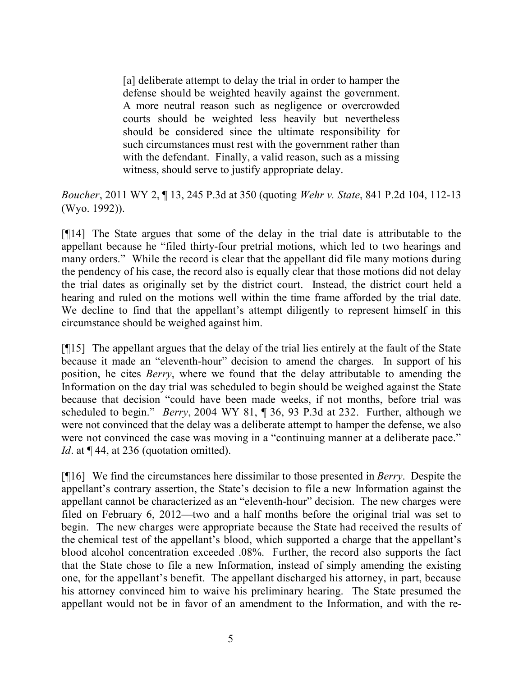[a] deliberate attempt to delay the trial in order to hamper the defense should be weighted heavily against the government. A more neutral reason such as negligence or overcrowded courts should be weighted less heavily but nevertheless should be considered since the ultimate responsibility for such circumstances must rest with the government rather than with the defendant. Finally, a valid reason, such as a missing witness, should serve to justify appropriate delay.

*Boucher*, 2011 WY 2, ¶ 13, 245 P.3d at 350 (quoting *Wehr v. State*, 841 P.2d 104, 112-13 (Wyo. 1992)).

[¶14] The State argues that some of the delay in the trial date is attributable to the appellant because he "filed thirty-four pretrial motions, which led to two hearings and many orders." While the record is clear that the appellant did file many motions during the pendency of his case, the record also is equally clear that those motions did not delay the trial dates as originally set by the district court. Instead, the district court held a hearing and ruled on the motions well within the time frame afforded by the trial date. We decline to find that the appellant's attempt diligently to represent himself in this circumstance should be weighed against him.

[¶15] The appellant argues that the delay of the trial lies entirely at the fault of the State because it made an "eleventh-hour" decision to amend the charges. In support of his position, he cites *Berry*, where we found that the delay attributable to amending the Information on the day trial was scheduled to begin should be weighed against the State because that decision "could have been made weeks, if not months, before trial was scheduled to begin." *Berry*, 2004 WY 81, ¶ 36, 93 P.3d at 232. Further, although we were not convinced that the delay was a deliberate attempt to hamper the defense, we also were not convinced the case was moving in a "continuing manner at a deliberate pace." *Id*. at  $\P$  44, at 236 (quotation omitted).

[¶16] We find the circumstances here dissimilar to those presented in *Berry*. Despite the appellant's contrary assertion, the State's decision to file a new Information against the appellant cannot be characterized as an "eleventh-hour" decision. The new charges were filed on February 6, 2012—two and a half months before the original trial was set to begin. The new charges were appropriate because the State had received the results of the chemical test of the appellant's blood, which supported a charge that the appellant's blood alcohol concentration exceeded .08%. Further, the record also supports the fact that the State chose to file a new Information, instead of simply amending the existing one, for the appellant's benefit. The appellant discharged his attorney, in part, because his attorney convinced him to waive his preliminary hearing. The State presumed the appellant would not be in favor of an amendment to the Information, and with the re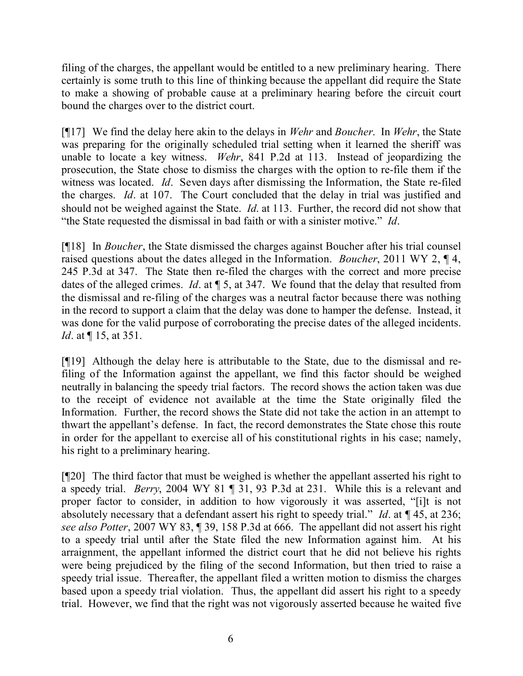filing of the charges, the appellant would be entitled to a new preliminary hearing. There certainly is some truth to this line of thinking because the appellant did require the State to make a showing of probable cause at a preliminary hearing before the circuit court bound the charges over to the district court.

[¶17] We find the delay here akin to the delays in *Wehr* and *Boucher*. In *Wehr*, the State was preparing for the originally scheduled trial setting when it learned the sheriff was unable to locate a key witness. *Wehr*, 841 P.2d at 113. Instead of jeopardizing the prosecution, the State chose to dismiss the charges with the option to re-file them if the witness was located. *Id*. Seven days after dismissing the Information, the State re-filed the charges. *Id*. at 107. The Court concluded that the delay in trial was justified and should not be weighed against the State. *Id*. at 113. Further, the record did not show that "the State requested the dismissal in bad faith or with a sinister motive." *Id*.

[¶18] In *Boucher*, the State dismissed the charges against Boucher after his trial counsel raised questions about the dates alleged in the Information. *Boucher*, 2011 WY 2, ¶ 4, 245 P.3d at 347. The State then re-filed the charges with the correct and more precise dates of the alleged crimes. *Id*. at ¶ 5, at 347. We found that the delay that resulted from the dismissal and re-filing of the charges was a neutral factor because there was nothing in the record to support a claim that the delay was done to hamper the defense. Instead, it was done for the valid purpose of corroborating the precise dates of the alleged incidents. *Id.* at  $\P$  15, at 351.

[¶19] Although the delay here is attributable to the State, due to the dismissal and refiling of the Information against the appellant, we find this factor should be weighed neutrally in balancing the speedy trial factors. The record shows the action taken was due to the receipt of evidence not available at the time the State originally filed the Information. Further, the record shows the State did not take the action in an attempt to thwart the appellant's defense. In fact, the record demonstrates the State chose this route in order for the appellant to exercise all of his constitutional rights in his case; namely, his right to a preliminary hearing.

[¶20] The third factor that must be weighed is whether the appellant asserted his right to a speedy trial. *Berry*, 2004 WY 81 ¶ 31, 93 P.3d at 231. While this is a relevant and proper factor to consider, in addition to how vigorously it was asserted, "[i]t is not absolutely necessary that a defendant assert his right to speedy trial." *Id*. at ¶ 45, at 236; *see also Potter*, 2007 WY 83, ¶ 39, 158 P.3d at 666. The appellant did not assert his right to a speedy trial until after the State filed the new Information against him. At his arraignment, the appellant informed the district court that he did not believe his rights were being prejudiced by the filing of the second Information, but then tried to raise a speedy trial issue. Thereafter, the appellant filed a written motion to dismiss the charges based upon a speedy trial violation. Thus, the appellant did assert his right to a speedy trial. However, we find that the right was not vigorously asserted because he waited five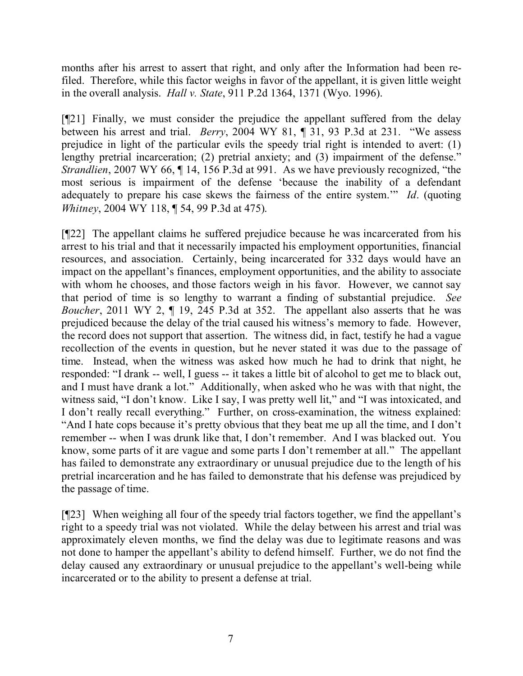months after his arrest to assert that right, and only after the Information had been refiled. Therefore, while this factor weighs in favor of the appellant, it is given little weight in the overall analysis. *Hall v. State*, 911 P.2d 1364, 1371 (Wyo. 1996).

[¶21] Finally, we must consider the prejudice the appellant suffered from the delay between his arrest and trial. *Berry*, 2004 WY 81, ¶ 31, 93 P.3d at 231. "We assess prejudice in light of the particular evils the speedy trial right is intended to avert: (1) lengthy pretrial incarceration; (2) pretrial anxiety; and (3) impairment of the defense." *Strandlien*, 2007 WY 66,  $\P$  14, 156 P.3d at 991. As we have previously recognized, "the most serious is impairment of the defense 'because the inability of a defendant adequately to prepare his case skews the fairness of the entire system.'" *Id*. (quoting *Whitney*, 2004 WY 118, ¶ 54, 99 P.3d at 475).

[¶22] The appellant claims he suffered prejudice because he was incarcerated from his arrest to his trial and that it necessarily impacted his employment opportunities, financial resources, and association. Certainly, being incarcerated for 332 days would have an impact on the appellant's finances, employment opportunities, and the ability to associate with whom he chooses, and those factors weigh in his favor. However, we cannot say that period of time is so lengthy to warrant a finding of substantial prejudice. *See Boucher*, 2011 WY 2,  $\P$  19, 245 P.3d at 352. The appellant also asserts that he was prejudiced because the delay of the trial caused his witness's memory to fade. However, the record does not support that assertion. The witness did, in fact, testify he had a vague recollection of the events in question, but he never stated it was due to the passage of time. Instead, when the witness was asked how much he had to drink that night, he responded: "I drank -- well, I guess -- it takes a little bit of alcohol to get me to black out, and I must have drank a lot." Additionally, when asked who he was with that night, the witness said, "I don't know. Like I say, I was pretty well lit," and "I was intoxicated, and I don't really recall everything." Further, on cross-examination, the witness explained: "And I hate cops because it's pretty obvious that they beat me up all the time, and I don't remember -- when I was drunk like that, I don't remember. And I was blacked out. You know, some parts of it are vague and some parts I don't remember at all." The appellant has failed to demonstrate any extraordinary or unusual prejudice due to the length of his pretrial incarceration and he has failed to demonstrate that his defense was prejudiced by the passage of time.

[¶23] When weighing all four of the speedy trial factors together, we find the appellant's right to a speedy trial was not violated. While the delay between his arrest and trial was approximately eleven months, we find the delay was due to legitimate reasons and was not done to hamper the appellant's ability to defend himself. Further, we do not find the delay caused any extraordinary or unusual prejudice to the appellant's well-being while incarcerated or to the ability to present a defense at trial.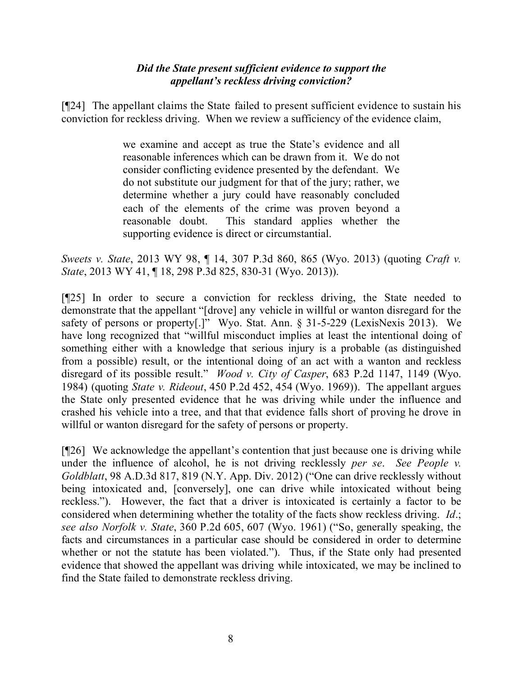# *Did the State present sufficient evidence to support the appellant's reckless driving conviction?*

[¶24] The appellant claims the State failed to present sufficient evidence to sustain his conviction for reckless driving. When we review a sufficiency of the evidence claim,

> we examine and accept as true the State's evidence and all reasonable inferences which can be drawn from it. We do not consider conflicting evidence presented by the defendant. We do not substitute our judgment for that of the jury; rather, we determine whether a jury could have reasonably concluded each of the elements of the crime was proven beyond a reasonable doubt. This standard applies whether the supporting evidence is direct or circumstantial.

*Sweets v. State*, 2013 WY 98, ¶ 14, 307 P.3d 860, 865 (Wyo. 2013) (quoting *Craft v. State*, 2013 WY 41, ¶ 18, 298 P.3d 825, 830-31 (Wyo. 2013)).

[¶25] In order to secure a conviction for reckless driving, the State needed to demonstrate that the appellant "[drove] any vehicle in willful or wanton disregard for the safety of persons or property[.]" Wyo. Stat. Ann. § 31-5-229 (LexisNexis 2013). We have long recognized that "willful misconduct implies at least the intentional doing of something either with a knowledge that serious injury is a probable (as distinguished from a possible) result, or the intentional doing of an act with a wanton and reckless disregard of its possible result." *Wood v. City of Casper*, 683 P.2d 1147, 1149 (Wyo. 1984) (quoting *State v. Rideout*, 450 P.2d 452, 454 (Wyo. 1969)). The appellant argues the State only presented evidence that he was driving while under the influence and crashed his vehicle into a tree, and that that evidence falls short of proving he drove in willful or wanton disregard for the safety of persons or property.

[¶26] We acknowledge the appellant's contention that just because one is driving while under the influence of alcohol, he is not driving recklessly *per se*. *See People v. Goldblatt*, 98 A.D.3d 817, 819 (N.Y. App. Div. 2012) ("One can drive recklessly without being intoxicated and, [conversely], one can drive while intoxicated without being reckless."). However, the fact that a driver is intoxicated is certainly a factor to be considered when determining whether the totality of the facts show reckless driving. *Id*.; *see also Norfolk v. State*, 360 P.2d 605, 607 (Wyo. 1961) ("So, generally speaking, the facts and circumstances in a particular case should be considered in order to determine whether or not the statute has been violated."). Thus, if the State only had presented evidence that showed the appellant was driving while intoxicated, we may be inclined to find the State failed to demonstrate reckless driving.